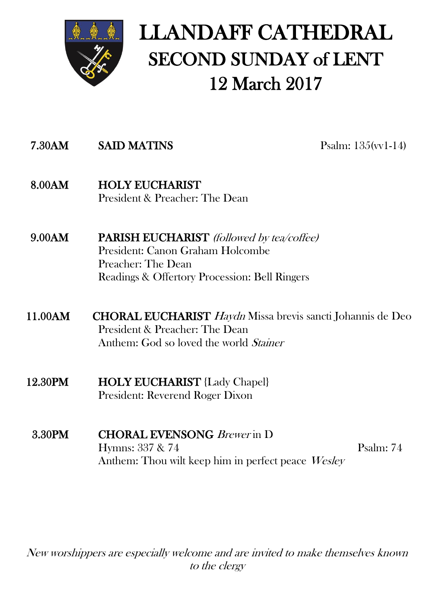

# LLANDAFF CATHEDRAL SECOND SUNDAY of LENT 12 March 2017

## 7.30AM SAID MATINS Psalm: 135(vv1-14)

- 8.00AM HOLY EUCHARIST President & Preacher: The Dean
- 9.00AM PARISH EUCHARIST (followed by tea/coffee) President: Canon Graham Holcombe Preacher: The Dean Readings & Offertory Procession: Bell Ringers
- 11.00AM CHORAL EUCHARIST Haydn Missa brevis sancti Johannis de Deo President & Preacher: The Dean Anthem: God so loved the world Stainer
- 12.30PM HOLY EUCHARIST {Lady Chapel} President: Reverend Roger Dixon
	- 3.30PM CHORAL EVENSONG Brewer in D Hymns: 337 & 74 Psalm: 74 Anthem: Thou wilt keep him in perfect peace Wesley

New worshippers are especially welcome and are invited to make themselves known to the clergy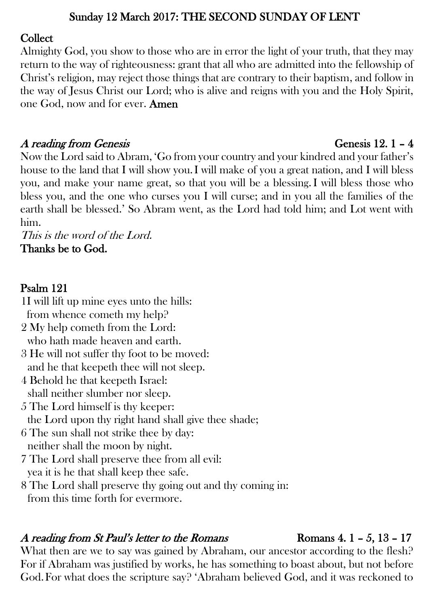#### Sunday 12 March 2017: THE SECOND SUNDAY OF LENT

#### Collect

Almighty God, you show to those who are in error the light of your truth, that they may return to the way of righteousness: grant that all who are admitted into the fellowship of Christ's religion, may reject those things that are contrary to their baptism, and follow in the way of Jesus Christ our Lord; who is alive and reigns with you and the Holy Spirit, one God, now and for ever. Amen

## A reading from Genesis  $\blacksquare$  1 – 4

Now the Lord said to Abram, 'Go from your country and your kindred and your father's house to the land that I will show you.I will make of you a great nation, and I will bless you, and make your name great, so that you will be a blessing.I will bless those who bless you, and the one who curses you I will curse; and in you all the families of the earth shall be blessed.' So Abram went, as the Lord had told him; and Lot went with him.

This is the word of the Lord. Thanks be to God.

### Psalm 121

- 1I will lift up mine eyes unto the hills: from whence cometh my help?
- 2 My help cometh from the Lord: who hath made heaven and earth.
- 3 He will not suffer thy foot to be moved: and he that keepeth thee will not sleep.
- 4 Behold he that keepeth Israel: shall neither slumber nor sleep.
- 5 The Lord himself is thy keeper: the Lord upon thy right hand shall give thee shade;
- 6 The sun shall not strike thee by day: neither shall the moon by night.
- 7 The Lord shall preserve thee from all evil: yea it is he that shall keep thee safe.
- 8 The Lord shall preserve thy going out and thy coming in: from this time forth for evermore.

### A reading from St Paul's letter to the Romans Romans 4.  $1 - 5$ ,  $13 - 17$

What then are we to say was gained by Abraham, our ancestor according to the flesh? For if Abraham was justified by works, he has something to boast about, but not before God.For what does the scripture say? 'Abraham believed God, and it was reckoned to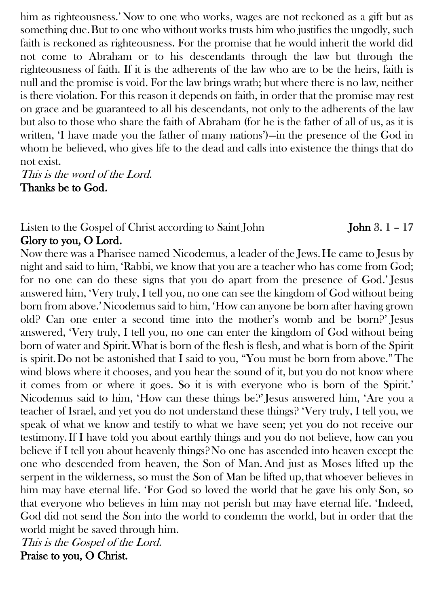him as righteousness.'Now to one who works, wages are not reckoned as a gift but as something due.But to one who without works trusts him who justifies the ungodly, such faith is reckoned as righteousness. For the promise that he would inherit the world did not come to Abraham or to his descendants through the law but through the righteousness of faith. If it is the adherents of the law who are to be the heirs, faith is null and the promise is void. For the law brings wrath; but where there is no law, neither is there violation. For this reason it depends on faith, in order that the promise may rest on grace and be guaranteed to all his descendants, not only to the adherents of the law but also to those who share the faith of Abraham (for he is the father of all of us, as it is written, 'I have made you the father of many nations')—in the presence of the God in whom he believed, who gives life to the dead and calls into existence the things that do not exist.

This is the word of the Lord. Thanks be to God.

#### Listen to the Gospel of Christ according to Saint John 3. 1 - 17 Glory to you, O Lord.

Now there was a Pharisee named Nicodemus, a leader of the Jews.He came to Jesus by night and said to him, 'Rabbi, we know that you are a teacher who has come from God; for no one can do these signs that you do apart from the presence of God.' Jesus answered him, 'Very truly, I tell you, no one can see the kingdom of God without being born from above.'Nicodemus said to him, 'How can anyone be born after having grown old? Can one enter a second time into the mother's womb and be born?' Jesus answered, 'Very truly, I tell you, no one can enter the kingdom of God without being born of water and Spirit.What is born of the flesh is flesh, and what is born of the Spirit is spirit.Do not be astonished that I said to you, "You must be born from above."The wind blows where it chooses, and you hear the sound of it, but you do not know where it comes from or where it goes. So it is with everyone who is born of the Spirit.' Nicodemus said to him, 'How can these things be?' Jesus answered him, 'Are you a teacher of Israel, and yet you do not understand these things? 'Very truly, I tell you, we speak of what we know and testify to what we have seen; yet you do not receive our testimony.If I have told you about earthly things and you do not believe, how can you believe if I tell you about heavenly things? No one has ascended into heaven except the one who descended from heaven, the Son of Man.And just as Moses lifted up the serpent in the wilderness, so must the Son of Man be lifted up, that whoever believes in him may have eternal life. 'For God so loved the world that he gave his only Son, so that everyone who believes in him may not perish but may have eternal life. 'Indeed, God did not send the Son into the world to condemn the world, but in order that the world might be saved through him.

This is the Gospel of the Lord. Praise to you, O Christ.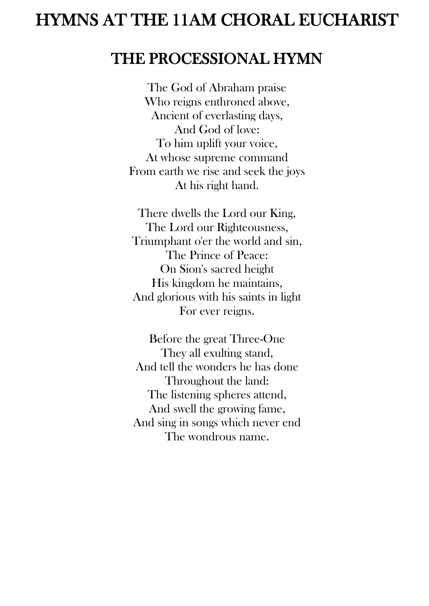## HYMNS AT THE 11AM CHORAL EUCHARIST

## THE PROCESSIONAL HYMN

The God of Abraham praise Who reigns enthroned above, Ancient of everlasting days, And God of love: To him uplift your voice, At whose supreme command From earth we rise and seek the joys At his right hand.

There dwells the Lord our King, The Lord our Righteousness, Triumphant o'er the world and sin, The Prince of Peace: On Sion's sacred height His kingdom he maintains, And glorious with his saints in light For ever reigns.

Before the great Three-One They all exulting stand, And tell the wonders he has done Throughout the land: The listening spheres attend, And swell the growing fame, And sing in songs which never end The wondrous name.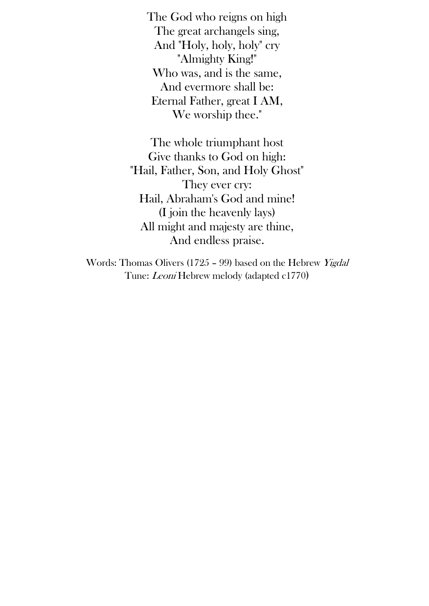The God who reigns on high The great archangels sing, And "Holy, holy, holy" cry "Almighty King!" Who was, and is the same, And evermore shall be: Eternal Father, great I AM, We worship thee."

The whole triumphant host Give thanks to God on high: "Hail, Father, Son, and Holy Ghost" They ever cry: Hail, Abraham's God and mine! (I join the heavenly lays) All might and majesty are thine, And endless praise.

Words: Thomas Olivers (1725 – 99) based on the Hebrew Yigdal Tune: Leoni Hebrew melody (adapted c1770)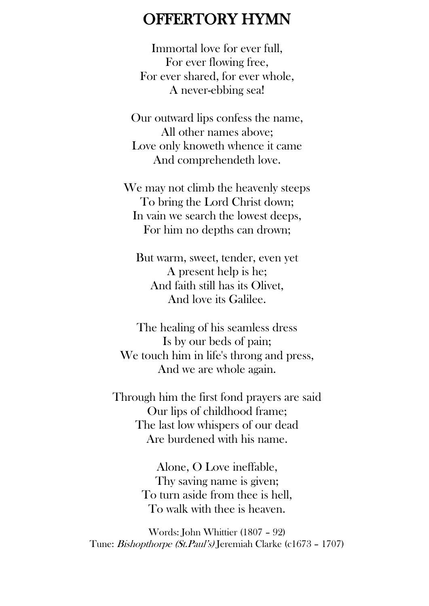## OFFERTORY HYMN

Immortal love for ever full, For ever flowing free, For ever shared, for ever whole, A never-ebbing sea!

Our outward lips confess the name, All other names above; Love only knoweth whence it came And comprehendeth love.

We may not climb the heavenly steeps To bring the Lord Christ down; In vain we search the lowest deeps, For him no depths can drown;

But warm, sweet, tender, even yet A present help is he; And faith still has its Olivet, And love its Galilee.

The healing of his seamless dress Is by our beds of pain; We touch him in life's throng and press, And we are whole again.

Through him the first fond prayers are said Our lips of childhood frame; The last low whispers of our dead Are burdened with his name.

> Alone, O Love ineffable, Thy saving name is given; To turn aside from thee is hell, To walk with thee is heaven.

Words: John Whittier (1807 – 92) Tune: Bishopthorpe (St.Paul's) Jeremiah Clarke (c1673 – 1707)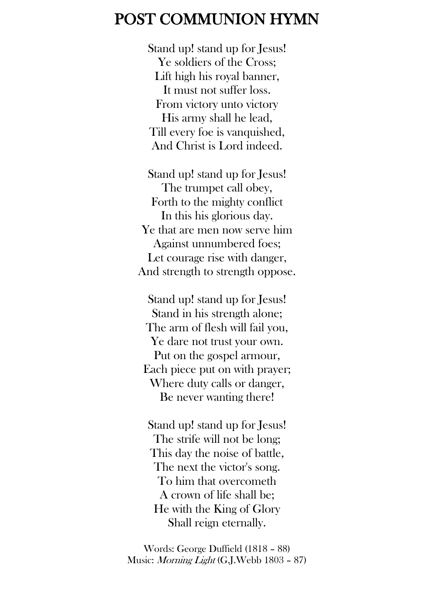## POST COMMUNION HYMN

Stand up! stand up for Jesus! Ye soldiers of the Cross; Lift high his royal banner, It must not suffer loss. From victory unto victory His army shall he lead, Till every foe is vanquished, And Christ is Lord indeed.

Stand up! stand up for Jesus! The trumpet call obey, Forth to the mighty conflict In this his glorious day. Ye that are men now serve him Against unnumbered foes; Let courage rise with danger, And strength to strength oppose.

Stand up! stand up for Jesus! Stand in his strength alone; The arm of flesh will fail you, Ye dare not trust your own. Put on the gospel armour, Each piece put on with prayer; Where duty calls or danger, Be never wanting there!

Stand up! stand up for Jesus! The strife will not be long; This day the noise of battle, The next the victor's song. To him that overcometh A crown of life shall be; He with the King of Glory Shall reign eternally.

Words: George Duffield (1818 – 88) Music: Morning Light (G.J.Webb 1803 – 87)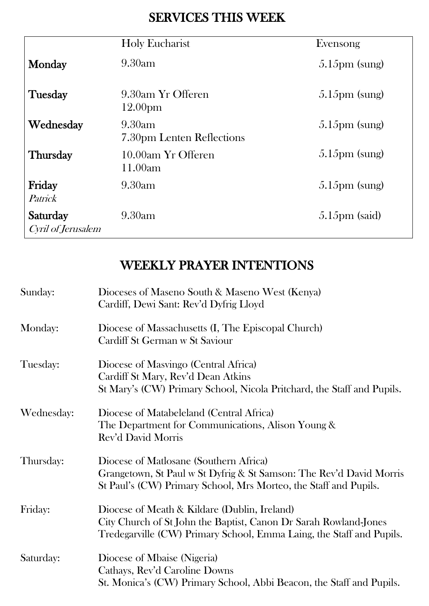## SERVICES THIS WEEK

|                                | <b>Holy Eucharist</b>                    | Evensong                |
|--------------------------------|------------------------------------------|-------------------------|
| Monday                         | 9.30am                                   | $5.15 \text{pm}$ (sung) |
| Tuesday                        | 9.30am Yr Offeren<br>12.00 <sub>pm</sub> | $5.15 \text{pm}$ (sung) |
| Wednesday                      | 9.30am<br>7.30pm Lenten Reflections      | $5.15 \text{pm}$ (sung) |
| <b>Thursday</b>                | 10.00am Yr Offeren<br>11.00am            | $5.15 \text{pm}$ (sung) |
| Friday<br>Patrick              | 9.30am                                   | $5.15 \text{pm}$ (sung) |
| Saturday<br>Cyril of Jerusalem | 9.30am                                   | $5.15 \text{pm}$ (said) |

## WEEKLY PRAYER INTENTIONS

| Sunday:    | Dioceses of Maseno South & Maseno West (Kenya)<br>Cardiff, Dewi Sant: Rev'd Dyfrig Lloyd                                                                                                 |
|------------|------------------------------------------------------------------------------------------------------------------------------------------------------------------------------------------|
| Monday:    | Diocese of Massachusetts (I, The Episcopal Church)<br>Cardiff St German w St Saviour                                                                                                     |
| Tuesday:   | Diocese of Masvingo (Central Africa)<br>Cardiff St Mary, Rev'd Dean Atkins<br>St Mary's (CW) Primary School, Nicola Pritchard, the Staff and Pupils.                                     |
| Wednesday: | Diocese of Matabeleland (Central Africa)<br>The Department for Communications, Alison Young &<br>Rev'd David Morris                                                                      |
| Thursday:  | Diocese of Matlosane (Southern Africa)<br>Grangetown, St Paul w St Dyfrig & St Samson: The Rev'd David Morris<br>St Paul's (CW) Primary School, Mrs Morteo, the Staff and Pupils.        |
| Friday:    | Diocese of Meath & Kildare (Dublin, Ireland)<br>City Church of St John the Baptist, Canon Dr Sarah Rowland-Jones<br>Tredegarville (CW) Primary School, Emma Laing, the Staff and Pupils. |
| Saturday:  | Diocese of Mbaise (Nigeria)<br>Cathays, Rev'd Caroline Downs<br>St. Monica's (CW) Primary School, Abbi Beacon, the Staff and Pupils.                                                     |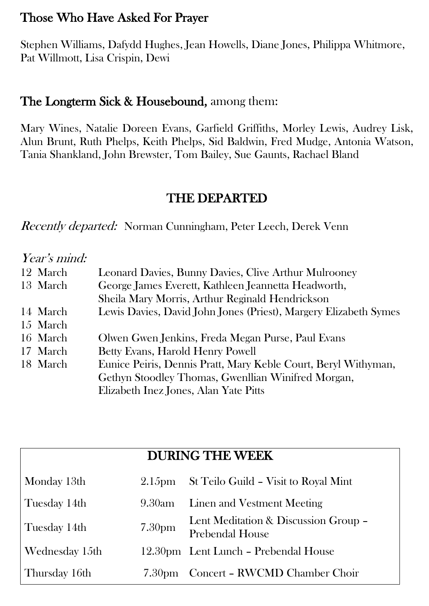## Those Who Have Asked For Prayer

Stephen Williams, Dafydd Hughes, Jean Howells, Diane Jones, Philippa Whitmore, Pat Willmott, Lisa Crispin, Dewi

### The Longterm Sick & Housebound, among them:

Mary Wines, Natalie Doreen Evans, Garfield Griffiths, Morley Lewis, Audrey Lisk, Alun Brunt, Ruth Phelps, Keith Phelps, Sid Baldwin, Fred Mudge, Antonia Watson, Tania Shankland, John Brewster, Tom Bailey, Sue Gaunts, Rachael Bland

## THE DEPARTED

Recently departed: Norman Cunningham, Peter Leech, Derek Venn

#### Year's mind:

| 12 March | Leonard Davies, Bunny Davies, Clive Arthur Mulrooney             |  |
|----------|------------------------------------------------------------------|--|
| 13 March | George James Everett, Kathleen Jeannetta Headworth,              |  |
|          | Sheila Mary Morris, Arthur Reginald Hendrickson                  |  |
| 14 March | Lewis Davies, David John Jones (Priest), Margery Elizabeth Symes |  |
| 15 March |                                                                  |  |
| 16 March | Olwen Gwen Jenkins, Freda Megan Purse, Paul Evans                |  |
| 17 March | Betty Evans, Harold Henry Powell                                 |  |
| 18 March | Eunice Peiris, Dennis Pratt, Mary Keble Court, Beryl Withyman,   |  |
|          | Gethyn Stoodley Thomas, Gwenllian Winifred Morgan,               |  |
|          | Elizabeth Inez Jones, Alan Yate Pitts                            |  |

| <b>DURING THE WEEK</b> |                    |                                                                |  |  |  |
|------------------------|--------------------|----------------------------------------------------------------|--|--|--|
| Monday 13th            | 2.15 <sub>pm</sub> | St Teilo Guild - Visit to Royal Mint                           |  |  |  |
| Tuesday 14th           | 9.30am             | Linen and Vestment Meeting                                     |  |  |  |
| Tuesday 14th           | 7.30 <sub>pm</sub> | Lent Meditation & Discussion Group -<br><b>Prebendal House</b> |  |  |  |
| Wednesday 15th         |                    | 12.30pm Lent Lunch - Prebendal House                           |  |  |  |
| Thursday 16th          | 7.30 <sub>pm</sub> | Concert - RWCMD Chamber Choir                                  |  |  |  |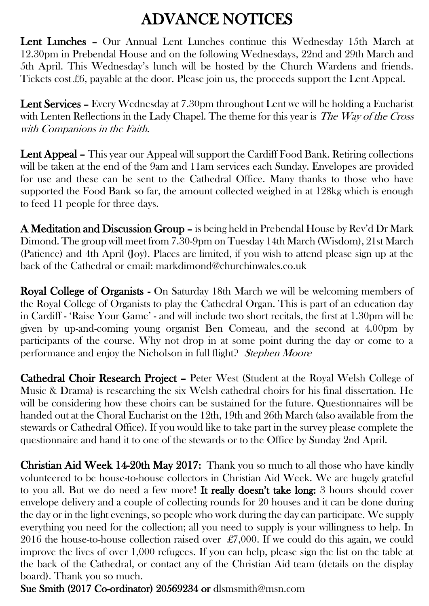## ADVANCE NOTICES

Lent Lunches – Our Annual Lent Lunches continue this Wednesday 15th March at 12.30pm in Prebendal House and on the following Wednesdays, 22nd and 29th March and 5th April. This Wednesday's lunch will be hosted by the Church Wardens and friends. Tickets cost £6, payable at the door. Please join us, the proceeds support the Lent Appeal.

Lent Services – Every Wednesday at 7.30pm throughout Lent we will be holding a Eucharist with Lenten Reflections in the Lady Chapel. The theme for this year is The Way of the Cross with Companions in the Faith.

Lent Appeal – This year our Appeal will support the Cardiff Food Bank. Retiring collections will be taken at the end of the 9am and 11am services each Sunday. Envelopes are provided for use and these can be sent to the Cathedral Office. Many thanks to those who have supported the Food Bank so far, the amount collected weighed in at 128kg which is enough to feed 11 people for three days.

A Meditation and Discussion Group – is being held in Prebendal House by Rev'd Dr Mark Dimond. The group will meet from 7.30-9pm on Tuesday 14th March (Wisdom), 21st March (Patience) and 4th April (Joy). Places are limited, if you wish to attend please sign up at the back of the Cathedral or email: markdimond@churchinwales.co.uk

Royal College of Organists - On Saturday 18th March we will be welcoming members of the Royal College of Organists to play the Cathedral Organ. This is part of an education day in Cardiff - 'Raise Your Game' - and will include two short recitals, the first at 1.30pm will be given by up-and-coming young organist Ben Comeau, and the second at 4.00pm by participants of the course. Why not drop in at some point during the day or come to a performance and enjoy the Nicholson in full flight? Stephen Moore

Cathedral Choir Research Project – Peter West (Student at the Royal Welsh College of Music & Drama) is researching the six Welsh cathedral choirs for his final dissertation. He will be considering how these choirs can be sustained for the future. Questionnaires will be handed out at the Choral Eucharist on the 12th, 19th and 26th March (also available from the stewards or Cathedral Office). If you would like to take part in the survey please complete the questionnaire and hand it to one of the stewards or to the Office by Sunday 2nd April.

Christian Aid Week 14-20th May 2017: Thank you so much to all those who have kindly volunteered to be house-to-house collectors in Christian Aid Week. We are hugely grateful to you all. But we do need a few more! It really doesn't take long: 3 hours should cover envelope delivery and a couple of collecting rounds for 20 houses and it can be done during the day or in the light evenings, so people who work during the day can participate. We supply everything you need for the collection; all you need to supply is your willingness to help. In 2016 the house-to-house collection raised over £7,000. If we could do this again, we could improve the lives of over 1,000 refugees. If you can help, please sign the list on the table at the back of the Cathedral, or contact any of the Christian Aid team (details on the display board). Thank you so much.

Sue Smith (2017 Co-ordinator) 20569234 or [dlsmsmith@msn.com](mailto:dlsmsmith@msn.com)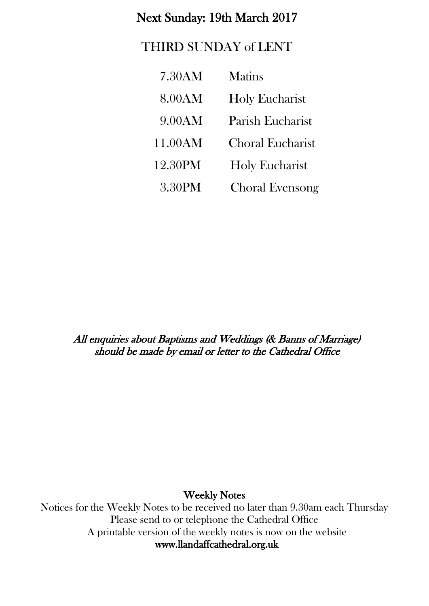### Next Sunday: 19th March 2017

## THIRD SUNDAY of LENT

| 7.30AM  | <b>Matins</b>           |
|---------|-------------------------|
| 8.00AM  | Holy Eucharist          |
| 9.00AM  | Parish Eucharist        |
| 11.00AM | <b>Choral Eucharist</b> |
| 12.30PM | <b>Holy Eucharist</b>   |
| 3.30PM  | <b>Choral Evensong</b>  |

All enquiries about Baptisms and Weddings (& Banns of Marriage) should be made by email or letter to the Cathedral Office

Weekly Notes

Notices for the Weekly Notes to be received no later than 9.30am each Thursday Please send to or telephone the Cathedral Office A printable version of the weekly notes is now on the website [www.llandaffcathedral.org.uk](http://www.llandaffcathedral.org.uk/)